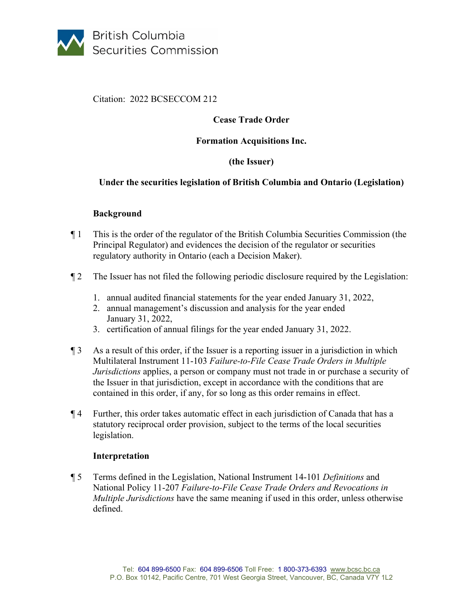

Citation: 2022 BCSECCOM 212

# **Cease Trade Order**

### **Formation Acquisitions Inc.**

## **(the Issuer)**

### **Under the securities legislation of British Columbia and Ontario (Legislation)**

### **Background**

- ¶ 1 This is the order of the regulator of the British Columbia Securities Commission (the Principal Regulator) and evidences the decision of the regulator or securities regulatory authority in Ontario (each a Decision Maker).
- ¶ 2 The Issuer has not filed the following periodic disclosure required by the Legislation:
	- 1. annual audited financial statements for the year ended January 31, 2022,
	- 2. annual management's discussion and analysis for the year ended January 31, 2022,
	- 3. certification of annual filings for the year ended January 31, 2022.
- ¶ 3 As a result of this order, if the Issuer is a reporting issuer in a jurisdiction in which Multilateral Instrument 11-103 *Failure-to-File Cease Trade Orders in Multiple Jurisdictions* applies, a person or company must not trade in or purchase a security of the Issuer in that jurisdiction, except in accordance with the conditions that are contained in this order, if any, for so long as this order remains in effect.
- ¶ 4 Further, this order takes automatic effect in each jurisdiction of Canada that has a statutory reciprocal order provision, subject to the terms of the local securities legislation.

### **Interpretation**

¶ 5 Terms defined in the Legislation, National Instrument 14-101 *Definitions* and National Policy 11-207 *Failure-to-File Cease Trade Orders and Revocations in Multiple Jurisdictions* have the same meaning if used in this order, unless otherwise defined.